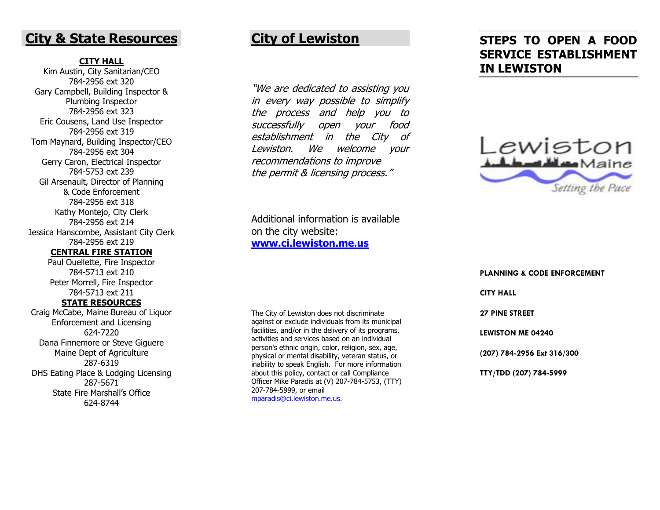## **City & State Resources**

### **CITY HALL**

Kim Austin, City Sanitarian/CEO 784-2956 ext 320 Gary Campbell, Building Inspector & Plumbing Inspector 784-2956 ext 323 Eric Cousens, Land Use Inspector 784-2956 ext 319 Tom Maynard, Building Inspector/CEO 784-2956 ext 304 Gerry Caron, Electrical Inspector 784-5753 ext 239 Gil Arsenault, Director of Planning & Code Enforcement 784-2956 ext 318 Kathy Montejo, City Clerk 784-2956 ext 214 Jessica Hanscombe, Assistant City Clerk 784-2956 ext 219 **CENTRAL FIRE STATION**

> Paul Ouellette, Fire Inspector 784-5713 ext 210 Peter Morrell, Fire Inspector 784-5713 ext 211 **STATE RESOURCES**

Craig McCabe, Maine Bureau of Liquor Enforcement and Licensing 624-7220Dana Finnemore or Steve Giguere Maine Dept of Agriculture 287-6319 DHS Eating Place & Lodging Licensing 287-5671 State Fire Marshall's Office 624-8744

## **City of Lewiston**

"We are dedicated to assisting you in every way possible to simplify the process and help you to successfully open your food establishment in the City of Lewiston. We welcome your recommendations to improve the permit & licensing process."

Additional information is available on the city website: **www.ci.lewiston.me.us**

The City of Lewiston does not discriminate against or exclude individuals from its municipal facilities, and/or in the delivery of its programs, activities and services based on an individual person's ethnic origin, color, religion, sex, age, physical or mental disability, veteran status, or inability to speak English. For more information about this policy, contact or call Compliance Officer Mike Paradis at (V) 207-784-5753, (TTY) 207-784-5999, or email mparadis@ci.lewiston.me.us.

# **STEPS TO OPEN A FOOD SERVICE ESTABLISHMENT IN LEWISTON**



**PLANNING & CODE ENFORCEMENT CITY HALL 27 PINE STREET LEWISTON ME 04240 (207) 784-2956 Ext 316/300 TTY/TDD (207) 784-5999**